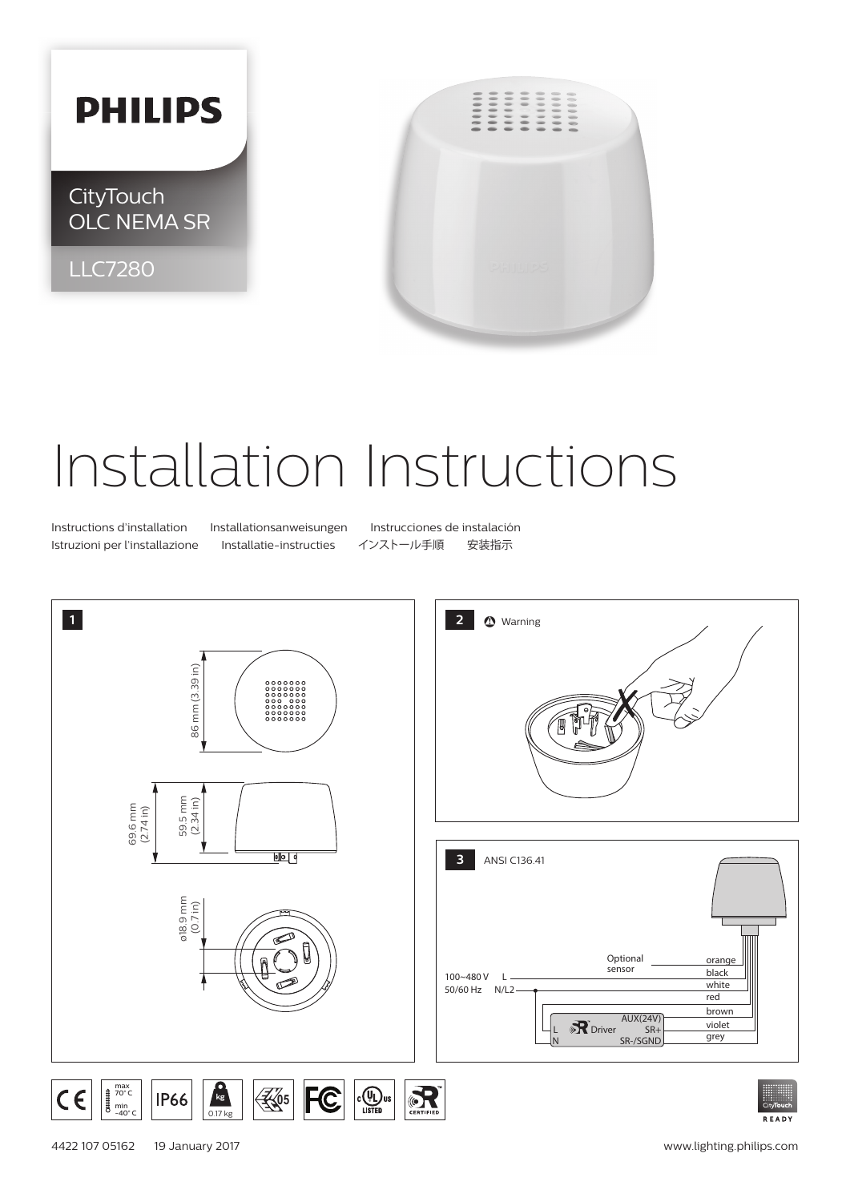## **PHILIPS**

**CityTouch** OLC NEMA SR

LLC7280



## Installation Instructions

Istruzioni per l'installazione Installatie-instructies インストール手順 安装指示

Instructions d'installation Installationsanweisungen Instrucciones de instalación





0.17 kg